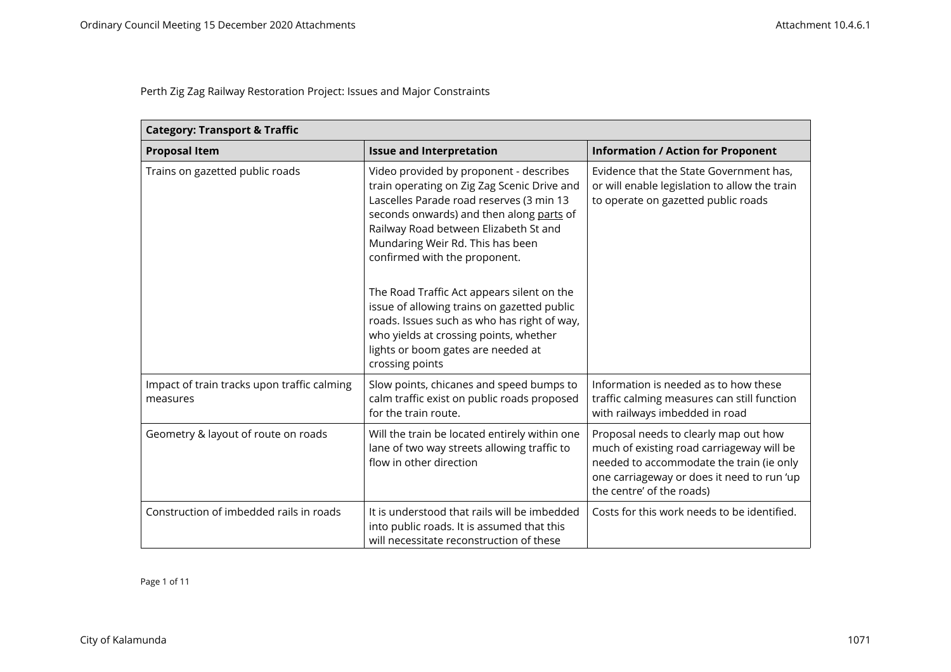| <b>Category: Transport &amp; Traffic</b>                |                                                                                                                                                                                                                                                                                                                                                                                                                                                                                                                                             |                                                                                                                                                                                                           |
|---------------------------------------------------------|---------------------------------------------------------------------------------------------------------------------------------------------------------------------------------------------------------------------------------------------------------------------------------------------------------------------------------------------------------------------------------------------------------------------------------------------------------------------------------------------------------------------------------------------|-----------------------------------------------------------------------------------------------------------------------------------------------------------------------------------------------------------|
| <b>Proposal Item</b>                                    | <b>Issue and Interpretation</b>                                                                                                                                                                                                                                                                                                                                                                                                                                                                                                             | <b>Information / Action for Proponent</b>                                                                                                                                                                 |
| Trains on gazetted public roads                         | Video provided by proponent - describes<br>train operating on Zig Zag Scenic Drive and<br>Lascelles Parade road reserves (3 min 13<br>seconds onwards) and then along parts of<br>Railway Road between Elizabeth St and<br>Mundaring Weir Rd. This has been<br>confirmed with the proponent.<br>The Road Traffic Act appears silent on the<br>issue of allowing trains on gazetted public<br>roads. Issues such as who has right of way,<br>who yields at crossing points, whether<br>lights or boom gates are needed at<br>crossing points | Evidence that the State Government has,<br>or will enable legislation to allow the train<br>to operate on gazetted public roads                                                                           |
| Impact of train tracks upon traffic calming<br>measures | Slow points, chicanes and speed bumps to<br>calm traffic exist on public roads proposed<br>for the train route.                                                                                                                                                                                                                                                                                                                                                                                                                             | Information is needed as to how these<br>traffic calming measures can still function<br>with railways imbedded in road                                                                                    |
| Geometry & layout of route on roads                     | Will the train be located entirely within one<br>lane of two way streets allowing traffic to<br>flow in other direction                                                                                                                                                                                                                                                                                                                                                                                                                     | Proposal needs to clearly map out how<br>much of existing road carriageway will be<br>needed to accommodate the train (ie only<br>one carriageway or does it need to run 'up<br>the centre' of the roads) |
| Construction of imbedded rails in roads                 | It is understood that rails will be imbedded<br>into public roads. It is assumed that this<br>will necessitate reconstruction of these                                                                                                                                                                                                                                                                                                                                                                                                      | Costs for this work needs to be identified.                                                                                                                                                               |

Page 1 of 11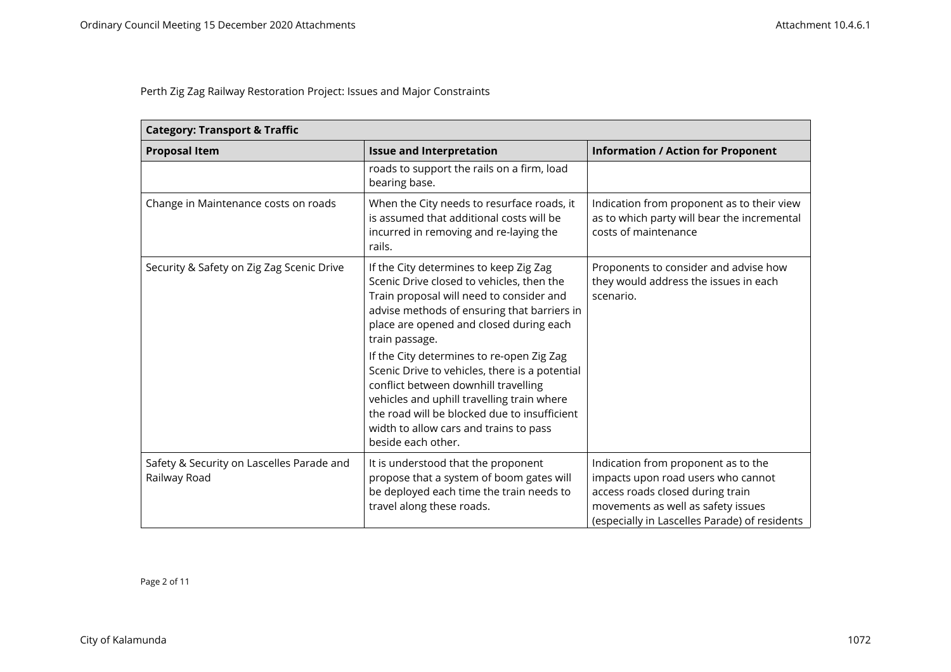| <b>Category: Transport &amp; Traffic</b>                  |                                                                                                                                                                                                                                                                                                                                                                                                                                                                                                                                                  |                                                                                                                                                                                                      |
|-----------------------------------------------------------|--------------------------------------------------------------------------------------------------------------------------------------------------------------------------------------------------------------------------------------------------------------------------------------------------------------------------------------------------------------------------------------------------------------------------------------------------------------------------------------------------------------------------------------------------|------------------------------------------------------------------------------------------------------------------------------------------------------------------------------------------------------|
| <b>Proposal Item</b>                                      | <b>Issue and Interpretation</b>                                                                                                                                                                                                                                                                                                                                                                                                                                                                                                                  | <b>Information / Action for Proponent</b>                                                                                                                                                            |
|                                                           | roads to support the rails on a firm, load<br>bearing base.                                                                                                                                                                                                                                                                                                                                                                                                                                                                                      |                                                                                                                                                                                                      |
| Change in Maintenance costs on roads                      | When the City needs to resurface roads, it<br>is assumed that additional costs will be<br>incurred in removing and re-laying the<br>rails.                                                                                                                                                                                                                                                                                                                                                                                                       | Indication from proponent as to their view<br>as to which party will bear the incremental<br>costs of maintenance                                                                                    |
| Security & Safety on Zig Zag Scenic Drive                 | If the City determines to keep Zig Zag<br>Scenic Drive closed to vehicles, then the<br>Train proposal will need to consider and<br>advise methods of ensuring that barriers in<br>place are opened and closed during each<br>train passage.<br>If the City determines to re-open Zig Zag<br>Scenic Drive to vehicles, there is a potential<br>conflict between downhill travelling<br>vehicles and uphill travelling train where<br>the road will be blocked due to insufficient<br>width to allow cars and trains to pass<br>beside each other. | Proponents to consider and advise how<br>they would address the issues in each<br>scenario.                                                                                                          |
| Safety & Security on Lascelles Parade and<br>Railway Road | It is understood that the proponent<br>propose that a system of boom gates will<br>be deployed each time the train needs to<br>travel along these roads.                                                                                                                                                                                                                                                                                                                                                                                         | Indication from proponent as to the<br>impacts upon road users who cannot<br>access roads closed during train<br>movements as well as safety issues<br>(especially in Lascelles Parade) of residents |

Page 2 of 11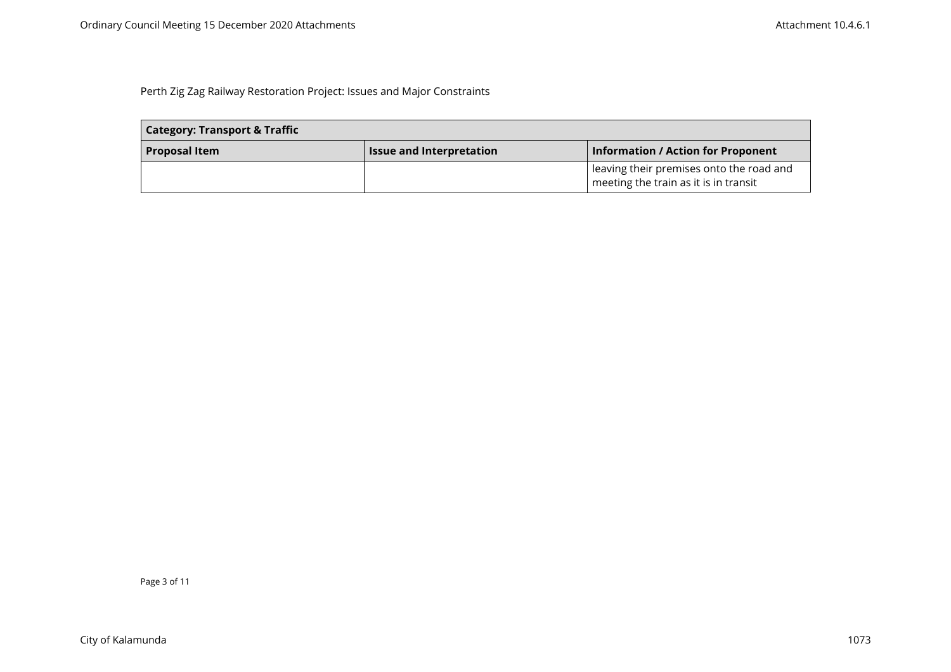| <b>Category: Transport &amp; Traffic</b> |                                 |                                                                                   |
|------------------------------------------|---------------------------------|-----------------------------------------------------------------------------------|
| <b>Proposal Item</b>                     | <b>Issue and Interpretation</b> | <b>Information / Action for Proponent</b>                                         |
|                                          |                                 | leaving their premises onto the road and<br>meeting the train as it is in transit |

Page 3 of 11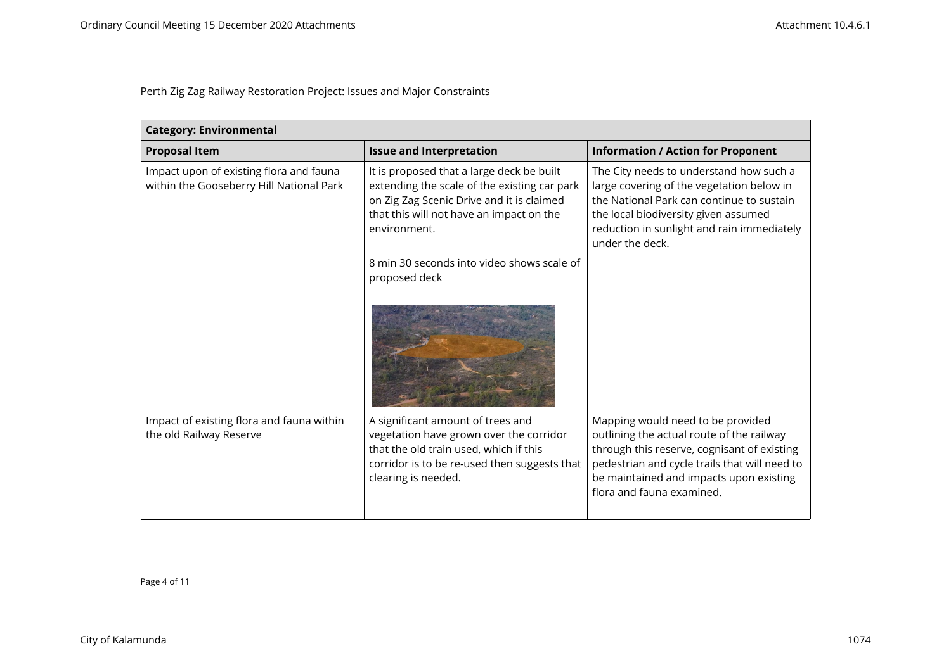| <b>Category: Environmental</b>                                                      |                                                                                                                                                                                                    |                                                                                                                                                                                                                                                        |
|-------------------------------------------------------------------------------------|----------------------------------------------------------------------------------------------------------------------------------------------------------------------------------------------------|--------------------------------------------------------------------------------------------------------------------------------------------------------------------------------------------------------------------------------------------------------|
| <b>Proposal Item</b>                                                                | <b>Issue and Interpretation</b>                                                                                                                                                                    | <b>Information / Action for Proponent</b>                                                                                                                                                                                                              |
| Impact upon of existing flora and fauna<br>within the Gooseberry Hill National Park | It is proposed that a large deck be built<br>extending the scale of the existing car park<br>on Zig Zag Scenic Drive and it is claimed<br>that this will not have an impact on the<br>environment. | The City needs to understand how such a<br>large covering of the vegetation below in<br>the National Park can continue to sustain<br>the local biodiversity given assumed<br>reduction in sunlight and rain immediately<br>under the deck.             |
|                                                                                     | 8 min 30 seconds into video shows scale of<br>proposed deck                                                                                                                                        |                                                                                                                                                                                                                                                        |
|                                                                                     |                                                                                                                                                                                                    |                                                                                                                                                                                                                                                        |
| Impact of existing flora and fauna within<br>the old Railway Reserve                | A significant amount of trees and<br>vegetation have grown over the corridor<br>that the old train used, which if this<br>corridor is to be re-used then suggests that<br>clearing is needed.      | Mapping would need to be provided<br>outlining the actual route of the railway<br>through this reserve, cognisant of existing<br>pedestrian and cycle trails that will need to<br>be maintained and impacts upon existing<br>flora and fauna examined. |

Page 4 of 11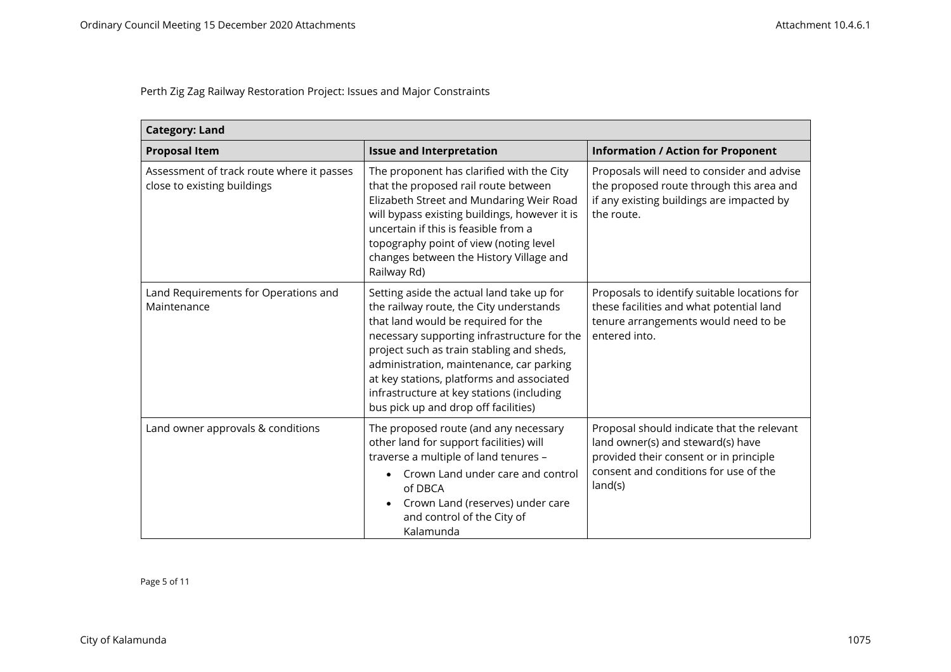| <b>Category: Land</b>                                                    |                                                                                                                                                                                                                                                                                                                                                                                                       |                                                                                                                                                                               |
|--------------------------------------------------------------------------|-------------------------------------------------------------------------------------------------------------------------------------------------------------------------------------------------------------------------------------------------------------------------------------------------------------------------------------------------------------------------------------------------------|-------------------------------------------------------------------------------------------------------------------------------------------------------------------------------|
| <b>Proposal Item</b>                                                     | <b>Issue and Interpretation</b>                                                                                                                                                                                                                                                                                                                                                                       | <b>Information / Action for Proponent</b>                                                                                                                                     |
| Assessment of track route where it passes<br>close to existing buildings | The proponent has clarified with the City<br>that the proposed rail route between<br>Elizabeth Street and Mundaring Weir Road<br>will bypass existing buildings, however it is<br>uncertain if this is feasible from a<br>topography point of view (noting level<br>changes between the History Village and<br>Railway Rd)                                                                            | Proposals will need to consider and advise<br>the proposed route through this area and<br>if any existing buildings are impacted by<br>the route.                             |
| Land Requirements for Operations and<br>Maintenance                      | Setting aside the actual land take up for<br>the railway route, the City understands<br>that land would be required for the<br>necessary supporting infrastructure for the<br>project such as train stabling and sheds,<br>administration, maintenance, car parking<br>at key stations, platforms and associated<br>infrastructure at key stations (including<br>bus pick up and drop off facilities) | Proposals to identify suitable locations for<br>these facilities and what potential land<br>tenure arrangements would need to be<br>entered into.                             |
| Land owner approvals & conditions                                        | The proposed route (and any necessary<br>other land for support facilities) will<br>traverse a multiple of land tenures -<br>Crown Land under care and control<br>of DBCA<br>Crown Land (reserves) under care<br>and control of the City of<br>Kalamunda                                                                                                                                              | Proposal should indicate that the relevant<br>land owner(s) and steward(s) have<br>provided their consent or in principle<br>consent and conditions for use of the<br>land(s) |

Page 5 of 11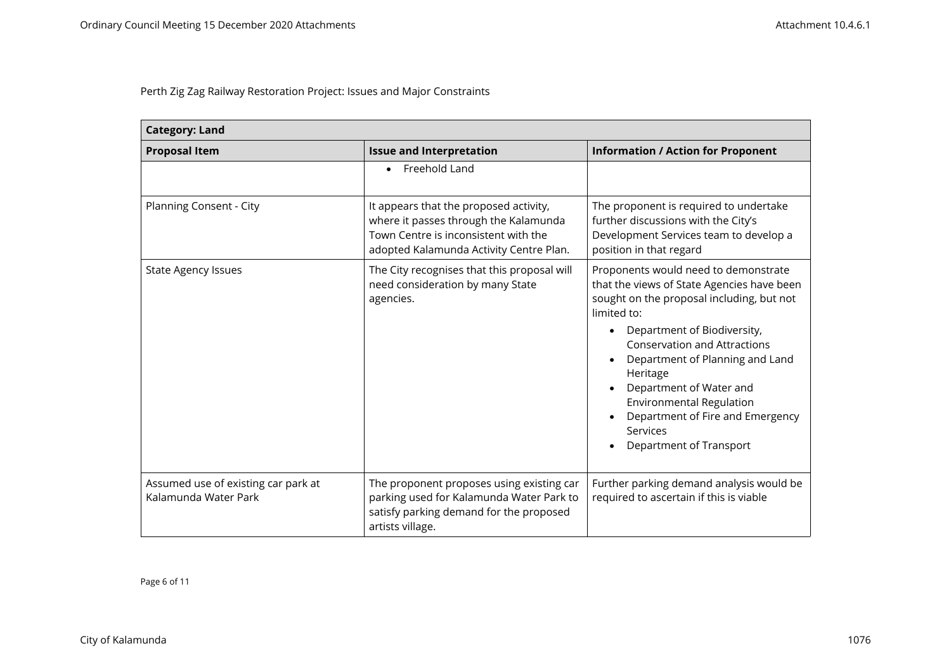| <b>Category: Land</b>                                       |                                                                                                                                                                    |                                                                                                                                                                                                                                                                                                                                                                                                                                              |
|-------------------------------------------------------------|--------------------------------------------------------------------------------------------------------------------------------------------------------------------|----------------------------------------------------------------------------------------------------------------------------------------------------------------------------------------------------------------------------------------------------------------------------------------------------------------------------------------------------------------------------------------------------------------------------------------------|
| <b>Proposal Item</b>                                        | <b>Issue and Interpretation</b>                                                                                                                                    | <b>Information / Action for Proponent</b>                                                                                                                                                                                                                                                                                                                                                                                                    |
|                                                             | Freehold Land                                                                                                                                                      |                                                                                                                                                                                                                                                                                                                                                                                                                                              |
| Planning Consent - City                                     | It appears that the proposed activity,<br>where it passes through the Kalamunda<br>Town Centre is inconsistent with the<br>adopted Kalamunda Activity Centre Plan. | The proponent is required to undertake<br>further discussions with the City's<br>Development Services team to develop a<br>position in that regard                                                                                                                                                                                                                                                                                           |
| <b>State Agency Issues</b>                                  | The City recognises that this proposal will<br>need consideration by many State<br>agencies.                                                                       | Proponents would need to demonstrate<br>that the views of State Agencies have been<br>sought on the proposal including, but not<br>limited to:<br>Department of Biodiversity,<br>$\bullet$<br><b>Conservation and Attractions</b><br>Department of Planning and Land<br>Heritage<br>Department of Water and<br>Environmental Regulation<br>Department of Fire and Emergency<br>$\bullet$<br>Services<br>Department of Transport<br>$\bullet$ |
| Assumed use of existing car park at<br>Kalamunda Water Park | The proponent proposes using existing car<br>parking used for Kalamunda Water Park to<br>satisfy parking demand for the proposed<br>artists village.               | Further parking demand analysis would be<br>required to ascertain if this is viable                                                                                                                                                                                                                                                                                                                                                          |

Page 6 of 11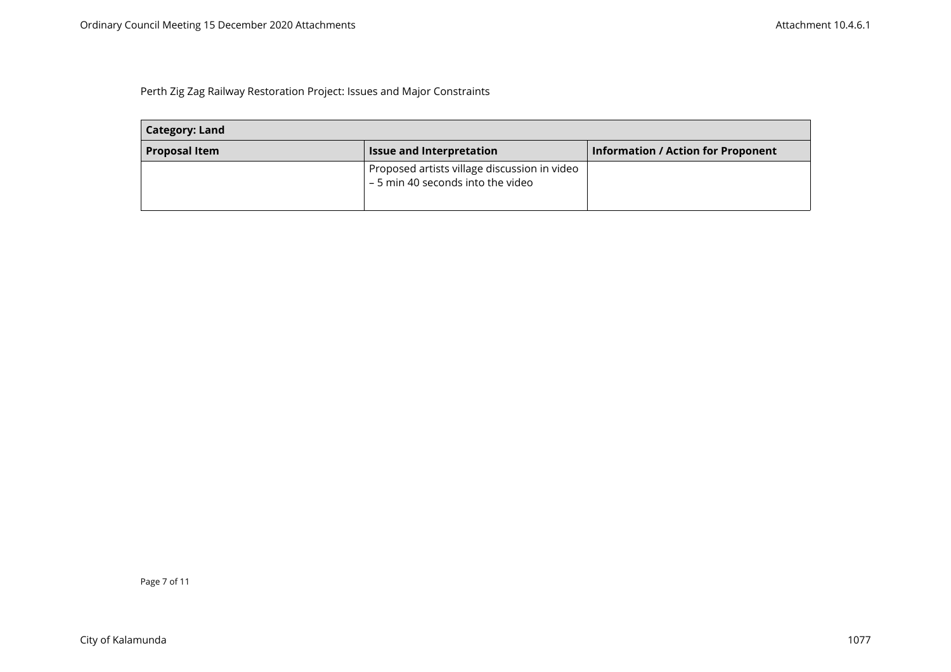| <b>Category: Land</b> |                                                                                   |                                           |
|-----------------------|-----------------------------------------------------------------------------------|-------------------------------------------|
| <b>Proposal Item</b>  | <b>Issue and Interpretation</b>                                                   | <b>Information / Action for Proponent</b> |
|                       | Proposed artists village discussion in video<br>- 5 min 40 seconds into the video |                                           |

Page 7 of 11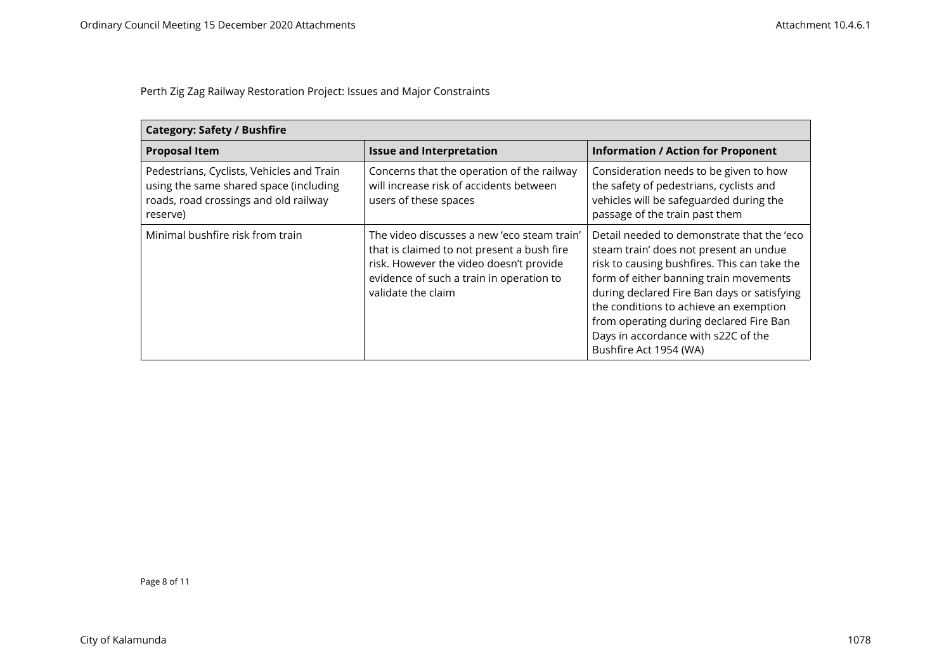| <b>Category: Safety / Bushfire</b>                                                                                                       |                                                                                                                                                                                                        |                                                                                                                                                                                                                                                                                                                                                                                     |
|------------------------------------------------------------------------------------------------------------------------------------------|--------------------------------------------------------------------------------------------------------------------------------------------------------------------------------------------------------|-------------------------------------------------------------------------------------------------------------------------------------------------------------------------------------------------------------------------------------------------------------------------------------------------------------------------------------------------------------------------------------|
| <b>Proposal Item</b>                                                                                                                     | <b>Issue and Interpretation</b>                                                                                                                                                                        | <b>Information / Action for Proponent</b>                                                                                                                                                                                                                                                                                                                                           |
| Pedestrians, Cyclists, Vehicles and Train<br>using the same shared space (including<br>roads, road crossings and old railway<br>reserve) | Concerns that the operation of the railway<br>will increase risk of accidents between<br>users of these spaces                                                                                         | Consideration needs to be given to how<br>the safety of pedestrians, cyclists and<br>vehicles will be safeguarded during the<br>passage of the train past them                                                                                                                                                                                                                      |
| Minimal bushfire risk from train                                                                                                         | The video discusses a new 'eco steam train'<br>that is claimed to not present a bush fire<br>risk. However the video doesn't provide<br>evidence of such a train in operation to<br>validate the claim | Detail needed to demonstrate that the 'eco<br>steam train' does not present an undue<br>risk to causing bushfires. This can take the<br>form of either banning train movements<br>during declared Fire Ban days or satisfying<br>the conditions to achieve an exemption<br>from operating during declared Fire Ban<br>Days in accordance with s22C of the<br>Bushfire Act 1954 (WA) |

Page 8 of 11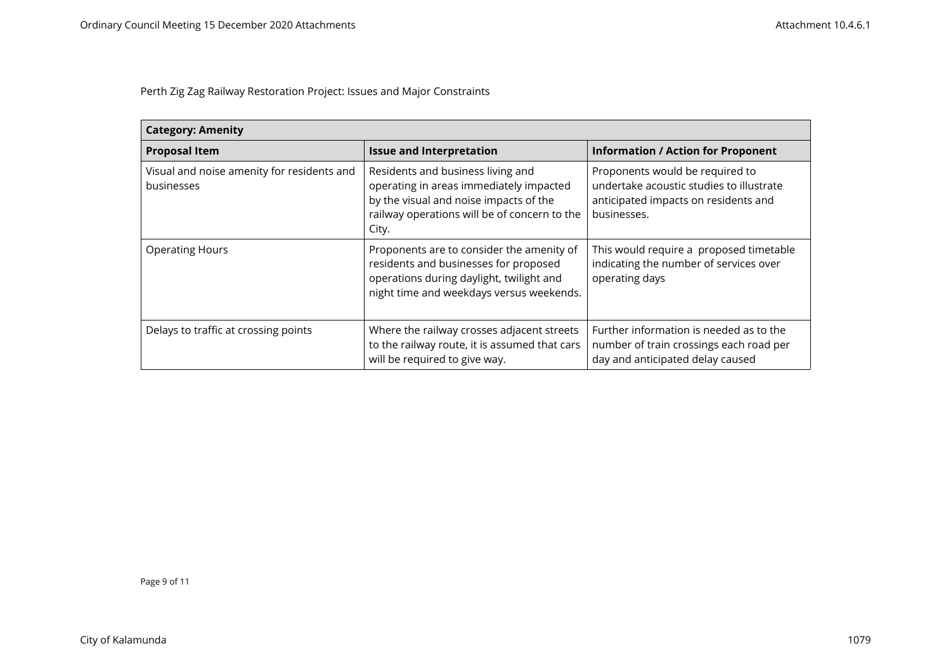| <b>Category: Amenity</b>                                 |                                                                                                                                                                                 |                                                                                                                                    |
|----------------------------------------------------------|---------------------------------------------------------------------------------------------------------------------------------------------------------------------------------|------------------------------------------------------------------------------------------------------------------------------------|
| <b>Proposal Item</b>                                     | <b>Issue and Interpretation</b>                                                                                                                                                 | <b>Information / Action for Proponent</b>                                                                                          |
| Visual and noise amenity for residents and<br>businesses | Residents and business living and<br>operating in areas immediately impacted<br>by the visual and noise impacts of the<br>railway operations will be of concern to the<br>City. | Proponents would be required to<br>undertake acoustic studies to illustrate<br>anticipated impacts on residents and<br>businesses. |
| <b>Operating Hours</b>                                   | Proponents are to consider the amenity of<br>residents and businesses for proposed<br>operations during daylight, twilight and<br>night time and weekdays versus weekends.      | This would require a proposed timetable<br>indicating the number of services over<br>operating days                                |
| Delays to traffic at crossing points                     | Where the railway crosses adjacent streets<br>to the railway route, it is assumed that cars<br>will be required to give way.                                                    | Further information is needed as to the<br>number of train crossings each road per<br>day and anticipated delay caused             |

Page 9 of 11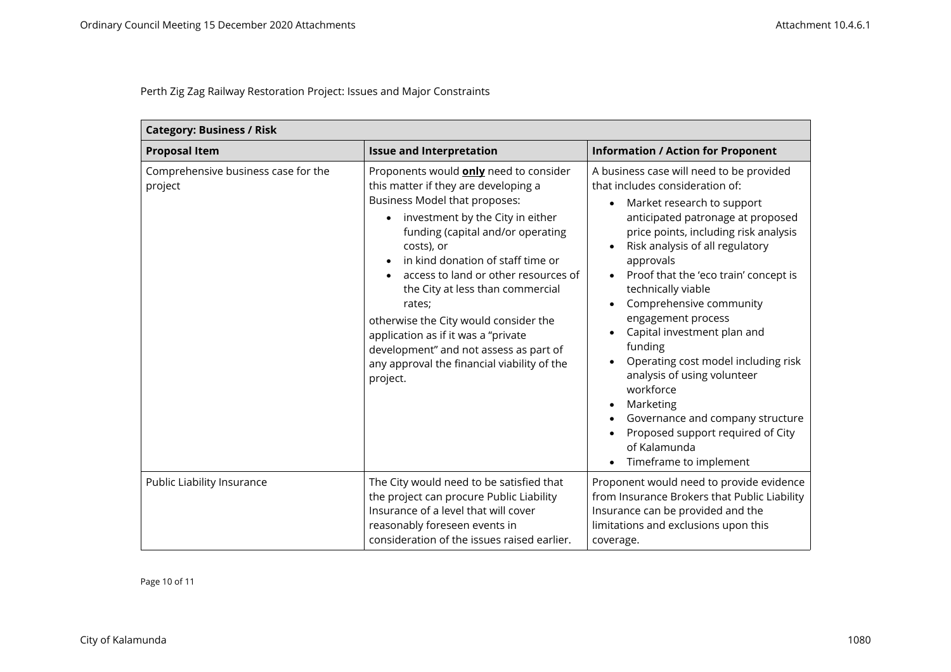| <b>Category: Business / Risk</b>               |                                                                                                                                                                                                                                                                                                                                                                                                                                                                                                                               |                                                                                                                                                                                                                                                                                                                                                                                                                                                                                                                                                                                                                                                                                                                                   |
|------------------------------------------------|-------------------------------------------------------------------------------------------------------------------------------------------------------------------------------------------------------------------------------------------------------------------------------------------------------------------------------------------------------------------------------------------------------------------------------------------------------------------------------------------------------------------------------|-----------------------------------------------------------------------------------------------------------------------------------------------------------------------------------------------------------------------------------------------------------------------------------------------------------------------------------------------------------------------------------------------------------------------------------------------------------------------------------------------------------------------------------------------------------------------------------------------------------------------------------------------------------------------------------------------------------------------------------|
| <b>Proposal Item</b>                           | <b>Issue and Interpretation</b>                                                                                                                                                                                                                                                                                                                                                                                                                                                                                               | <b>Information / Action for Proponent</b>                                                                                                                                                                                                                                                                                                                                                                                                                                                                                                                                                                                                                                                                                         |
| Comprehensive business case for the<br>project | Proponents would <b>only</b> need to consider<br>this matter if they are developing a<br>Business Model that proposes:<br>investment by the City in either<br>funding (capital and/or operating<br>costs), or<br>in kind donation of staff time or<br>access to land or other resources of<br>the City at less than commercial<br>rates;<br>otherwise the City would consider the<br>application as if it was a "private<br>development" and not assess as part of<br>any approval the financial viability of the<br>project. | A business case will need to be provided<br>that includes consideration of:<br>Market research to support<br>$\bullet$<br>anticipated patronage at proposed<br>price points, including risk analysis<br>Risk analysis of all regulatory<br>$\bullet$<br>approvals<br>Proof that the 'eco train' concept is<br>$\bullet$<br>technically viable<br>Comprehensive community<br>$\bullet$<br>engagement process<br>Capital investment plan and<br>$\bullet$<br>funding<br>Operating cost model including risk<br>$\bullet$<br>analysis of using volunteer<br>workforce<br>Marketing<br>$\bullet$<br>Governance and company structure<br>٠<br>Proposed support required of City<br>of Kalamunda<br>Timeframe to implement<br>$\bullet$ |
| Public Liability Insurance                     | The City would need to be satisfied that<br>the project can procure Public Liability<br>Insurance of a level that will cover<br>reasonably foreseen events in<br>consideration of the issues raised earlier.                                                                                                                                                                                                                                                                                                                  | Proponent would need to provide evidence<br>from Insurance Brokers that Public Liability<br>Insurance can be provided and the<br>limitations and exclusions upon this<br>coverage.                                                                                                                                                                                                                                                                                                                                                                                                                                                                                                                                                |

Page 10 of 11